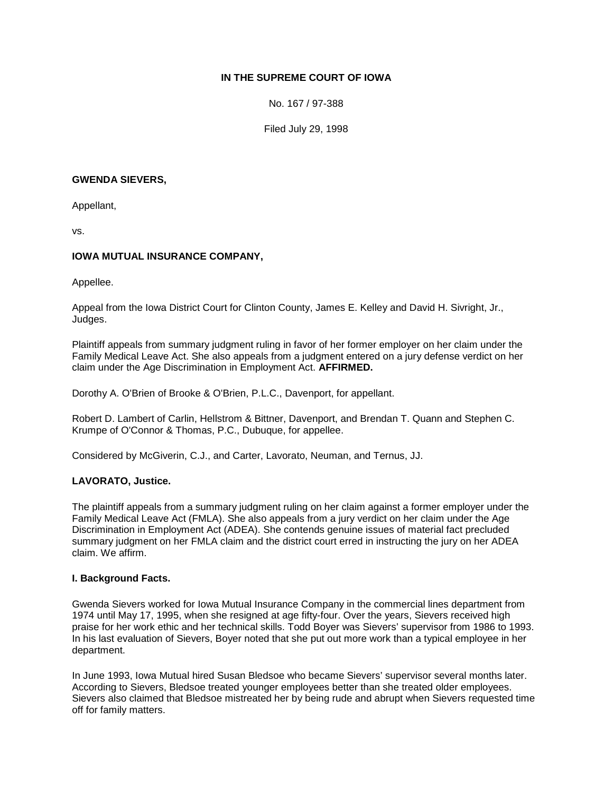# **IN THE SUPREME COURT OF IOWA**

No. 167 / 97-388

Filed July 29, 1998

#### **GWENDA SIEVERS,**

Appellant,

vs.

## **IOWA MUTUAL INSURANCE COMPANY,**

Appellee.

Appeal from the Iowa District Court for Clinton County, James E. Kelley and David H. Sivright, Jr., Judges.

Plaintiff appeals from summary judgment ruling in favor of her former employer on her claim under the Family Medical Leave Act. She also appeals from a judgment entered on a jury defense verdict on her claim under the Age Discrimination in Employment Act. **AFFIRMED.**

Dorothy A. O'Brien of Brooke & O'Brien, P.L.C., Davenport, for appellant.

Robert D. Lambert of Carlin, Hellstrom & Bittner, Davenport, and Brendan T. Quann and Stephen C. Krumpe of O'Connor & Thomas, P.C., Dubuque, for appellee.

Considered by McGiverin, C.J., and Carter, Lavorato, Neuman, and Ternus, JJ.

### **LAVORATO, Justice.**

The plaintiff appeals from a summary judgment ruling on her claim against a former employer under the Family Medical Leave Act (FMLA). She also appeals from a jury verdict on her claim under the Age Discrimination in Employment Act (ADEA). She contends genuine issues of material fact precluded summary judgment on her FMLA claim and the district court erred in instructing the jury on her ADEA claim. We affirm.

### **I. Background Facts.**

Gwenda Sievers worked for Iowa Mutual Insurance Company in the commercial lines department from 1974 until May 17, 1995, when she resigned at age fifty-four. Over the years, Sievers received high praise for her work ethic and her technical skills. Todd Boyer was Sievers' supervisor from 1986 to 1993. In his last evaluation of Sievers, Boyer noted that she put out more work than a typical employee in her department.

In June 1993, Iowa Mutual hired Susan Bledsoe who became Sievers' supervisor several months later. According to Sievers, Bledsoe treated younger employees better than she treated older employees. Sievers also claimed that Bledsoe mistreated her by being rude and abrupt when Sievers requested time off for family matters.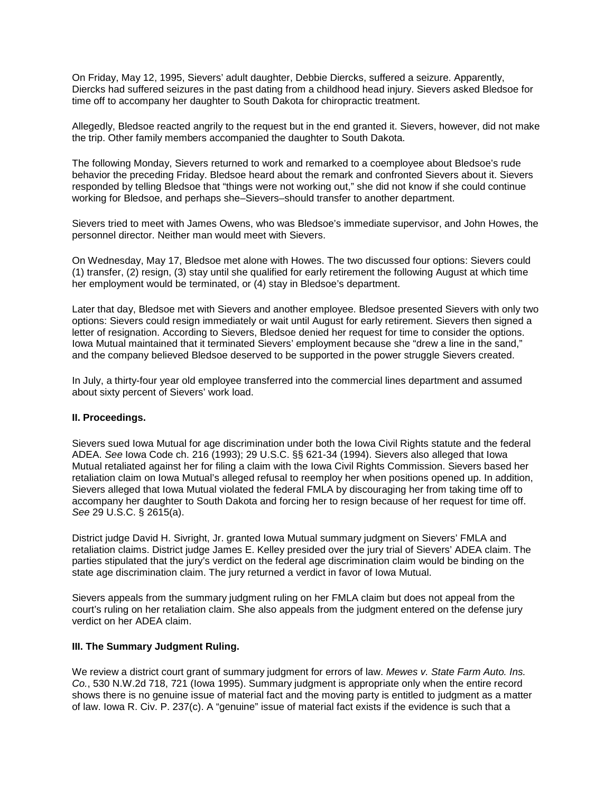On Friday, May 12, 1995, Sievers' adult daughter, Debbie Diercks, suffered a seizure. Apparently, Diercks had suffered seizures in the past dating from a childhood head injury. Sievers asked Bledsoe for time off to accompany her daughter to South Dakota for chiropractic treatment.

Allegedly, Bledsoe reacted angrily to the request but in the end granted it. Sievers, however, did not make the trip. Other family members accompanied the daughter to South Dakota.

The following Monday, Sievers returned to work and remarked to a coemployee about Bledsoe's rude behavior the preceding Friday. Bledsoe heard about the remark and confronted Sievers about it. Sievers responded by telling Bledsoe that "things were not working out," she did not know if she could continue working for Bledsoe, and perhaps she–Sievers–should transfer to another department.

Sievers tried to meet with James Owens, who was Bledsoe's immediate supervisor, and John Howes, the personnel director. Neither man would meet with Sievers.

On Wednesday, May 17, Bledsoe met alone with Howes. The two discussed four options: Sievers could (1) transfer, (2) resign, (3) stay until she qualified for early retirement the following August at which time her employment would be terminated, or (4) stay in Bledsoe's department.

Later that day, Bledsoe met with Sievers and another employee. Bledsoe presented Sievers with only two options: Sievers could resign immediately or wait until August for early retirement. Sievers then signed a letter of resignation. According to Sievers, Bledsoe denied her request for time to consider the options. Iowa Mutual maintained that it terminated Sievers' employment because she "drew a line in the sand," and the company believed Bledsoe deserved to be supported in the power struggle Sievers created.

In July, a thirty-four year old employee transferred into the commercial lines department and assumed about sixty percent of Sievers' work load.

#### **II. Proceedings.**

Sievers sued Iowa Mutual for age discrimination under both the Iowa Civil Rights statute and the federal ADEA. *See* Iowa Code ch. 216 (1993); 29 U.S.C. §§ 621-34 (1994). Sievers also alleged that Iowa Mutual retaliated against her for filing a claim with the Iowa Civil Rights Commission. Sievers based her retaliation claim on Iowa Mutual's alleged refusal to reemploy her when positions opened up. In addition, Sievers alleged that Iowa Mutual violated the federal FMLA by discouraging her from taking time off to accompany her daughter to South Dakota and forcing her to resign because of her request for time off. *See* 29 U.S.C. § 2615(a).

District judge David H. Sivright, Jr. granted Iowa Mutual summary judgment on Sievers' FMLA and retaliation claims. District judge James E. Kelley presided over the jury trial of Sievers' ADEA claim. The parties stipulated that the jury's verdict on the federal age discrimination claim would be binding on the state age discrimination claim. The jury returned a verdict in favor of Iowa Mutual.

Sievers appeals from the summary judgment ruling on her FMLA claim but does not appeal from the court's ruling on her retaliation claim. She also appeals from the judgment entered on the defense jury verdict on her ADEA claim.

#### **III. The Summary Judgment Ruling.**

We review a district court grant of summary judgment for errors of law. *Mewes v. State Farm Auto. Ins. Co.*, 530 N.W.2d 718, 721 (Iowa 1995). Summary judgment is appropriate only when the entire record shows there is no genuine issue of material fact and the moving party is entitled to judgment as a matter of law. Iowa R. Civ. P. 237(c). A "genuine" issue of material fact exists if the evidence is such that a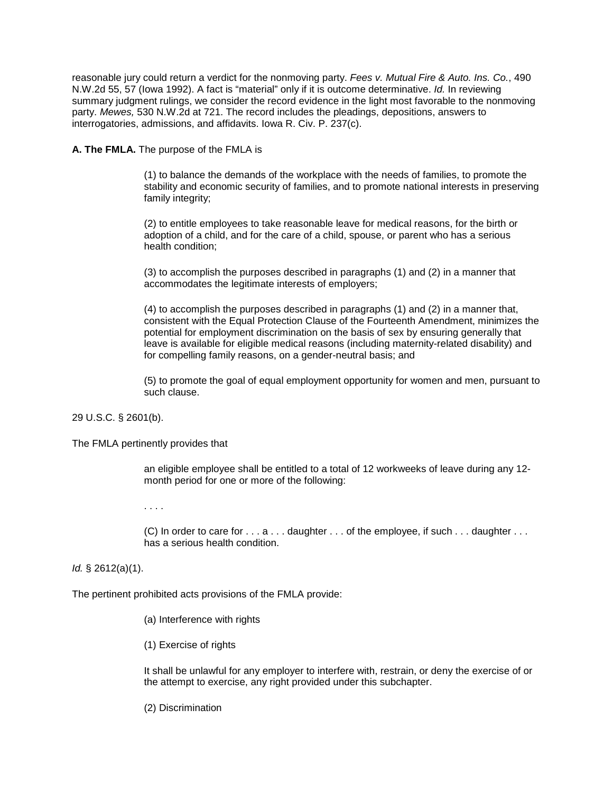reasonable jury could return a verdict for the nonmoving party. *Fees v. Mutual Fire & Auto. Ins. Co.*, 490 N.W.2d 55, 57 (Iowa 1992). A fact is "material" only if it is outcome determinative. *Id.* In reviewing summary judgment rulings, we consider the record evidence in the light most favorable to the nonmoving party. *Mewes,* 530 N.W.2d at 721. The record includes the pleadings, depositions, answers to interrogatories, admissions, and affidavits. Iowa R. Civ. P. 237(c).

**A. The FMLA.** The purpose of the FMLA is

(1) to balance the demands of the workplace with the needs of families, to promote the stability and economic security of families, and to promote national interests in preserving family integrity;

(2) to entitle employees to take reasonable leave for medical reasons, for the birth or adoption of a child, and for the care of a child, spouse, or parent who has a serious health condition;

(3) to accomplish the purposes described in paragraphs (1) and (2) in a manner that accommodates the legitimate interests of employers;

(4) to accomplish the purposes described in paragraphs (1) and (2) in a manner that, consistent with the Equal Protection Clause of the Fourteenth Amendment, minimizes the potential for employment discrimination on the basis of sex by ensuring generally that leave is available for eligible medical reasons (including maternity-related disability) and for compelling family reasons, on a gender-neutral basis; and

(5) to promote the goal of equal employment opportunity for women and men, pursuant to such clause.

29 U.S.C. § 2601(b).

The FMLA pertinently provides that

an eligible employee shall be entitled to a total of 12 workweeks of leave during any 12 month period for one or more of the following:

. . . .

(C) In order to care for . . . a . . . daughter . . . of the employee, if such . . . daughter . . . has a serious health condition.

*Id.* § 2612(a)(1).

The pertinent prohibited acts provisions of the FMLA provide:

- (a) Interference with rights
- (1) Exercise of rights

It shall be unlawful for any employer to interfere with, restrain, or deny the exercise of or the attempt to exercise, any right provided under this subchapter.

(2) Discrimination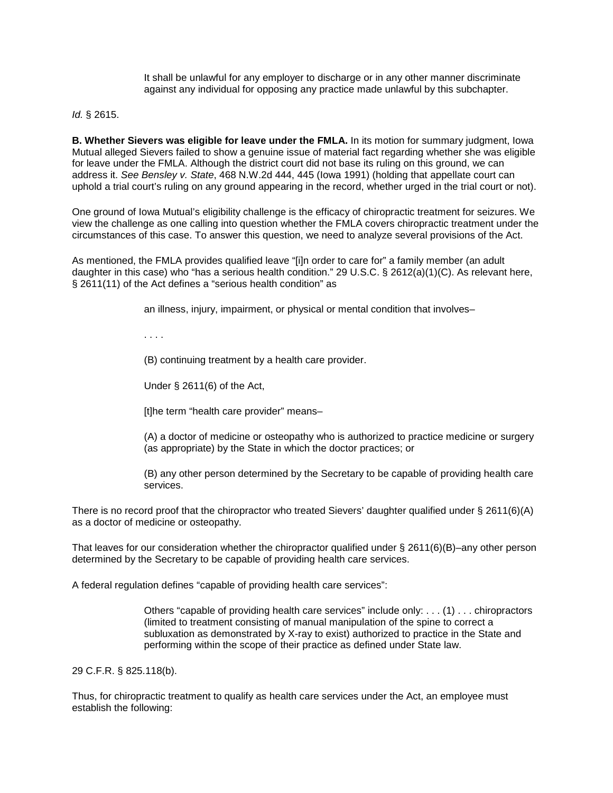It shall be unlawful for any employer to discharge or in any other manner discriminate against any individual for opposing any practice made unlawful by this subchapter.

*Id.* § 2615.

**B. Whether Sievers was eligible for leave under the FMLA.** In its motion for summary judgment, Iowa Mutual alleged Sievers failed to show a genuine issue of material fact regarding whether she was eligible for leave under the FMLA. Although the district court did not base its ruling on this ground, we can address it. *See Bensley v. State*, 468 N.W.2d 444, 445 (Iowa 1991) (holding that appellate court can uphold a trial court's ruling on any ground appearing in the record, whether urged in the trial court or not).

One ground of Iowa Mutual's eligibility challenge is the efficacy of chiropractic treatment for seizures. We view the challenge as one calling into question whether the FMLA covers chiropractic treatment under the circumstances of this case. To answer this question, we need to analyze several provisions of the Act.

As mentioned, the FMLA provides qualified leave "[i]n order to care for" a family member (an adult daughter in this case) who "has a serious health condition." 29 U.S.C. § 2612(a)(1)(C). As relevant here, § 2611(11) of the Act defines a "serious health condition" as

an illness, injury, impairment, or physical or mental condition that involves–

. . . .

(B) continuing treatment by a health care provider.

Under § 2611(6) of the Act,

[t]he term "health care provider" means–

(A) a doctor of medicine or osteopathy who is authorized to practice medicine or surgery (as appropriate) by the State in which the doctor practices; or

(B) any other person determined by the Secretary to be capable of providing health care services.

There is no record proof that the chiropractor who treated Sievers' daughter qualified under  $\S$  2611(6)(A) as a doctor of medicine or osteopathy.

That leaves for our consideration whether the chiropractor qualified under  $\S$  2611(6)(B)–any other person determined by the Secretary to be capable of providing health care services.

A federal regulation defines "capable of providing health care services":

Others "capable of providing health care services" include only: . . . (1) . . . chiropractors (limited to treatment consisting of manual manipulation of the spine to correct a subluxation as demonstrated by X-ray to exist) authorized to practice in the State and performing within the scope of their practice as defined under State law.

29 C.F.R. § 825.118(b).

Thus, for chiropractic treatment to qualify as health care services under the Act, an employee must establish the following: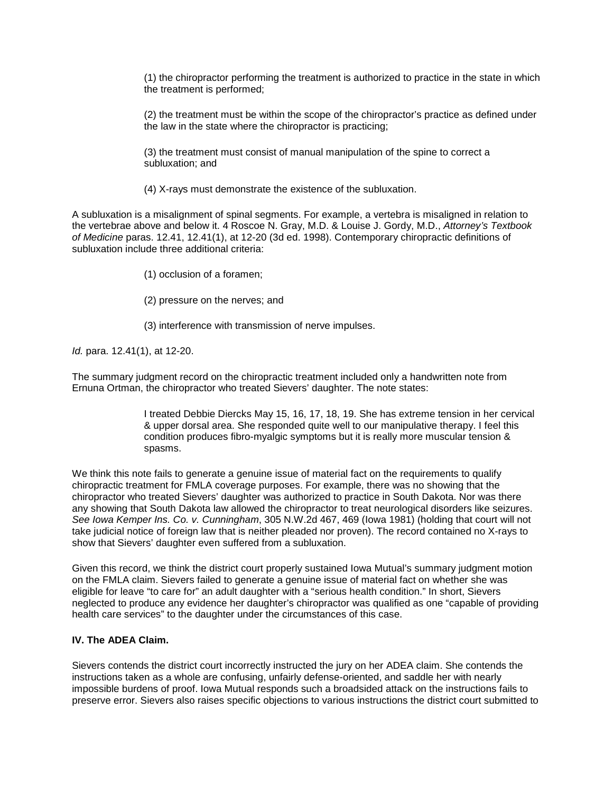(1) the chiropractor performing the treatment is authorized to practice in the state in which the treatment is performed;

(2) the treatment must be within the scope of the chiropractor's practice as defined under the law in the state where the chiropractor is practicing;

(3) the treatment must consist of manual manipulation of the spine to correct a subluxation; and

(4) X-rays must demonstrate the existence of the subluxation.

A subluxation is a misalignment of spinal segments. For example, a vertebra is misaligned in relation to the vertebrae above and below it. 4 Roscoe N. Gray, M.D. & Louise J. Gordy, M.D., *Attorney's Textbook of Medicine* paras. 12.41, 12.41(1), at 12-20 (3d ed. 1998). Contemporary chiropractic definitions of subluxation include three additional criteria:

(1) occlusion of a foramen;

(2) pressure on the nerves; and

(3) interference with transmission of nerve impulses.

*Id.* para. 12.41(1), at 12-20.

The summary judgment record on the chiropractic treatment included only a handwritten note from Ernuna Ortman, the chiropractor who treated Sievers' daughter. The note states:

> I treated Debbie Diercks May 15, 16, 17, 18, 19. She has extreme tension in her cervical & upper dorsal area. She responded quite well to our manipulative therapy. I feel this condition produces fibro-myalgic symptoms but it is really more muscular tension & spasms.

We think this note fails to generate a genuine issue of material fact on the requirements to qualify chiropractic treatment for FMLA coverage purposes. For example, there was no showing that the chiropractor who treated Sievers' daughter was authorized to practice in South Dakota. Nor was there any showing that South Dakota law allowed the chiropractor to treat neurological disorders like seizures. *See Iowa Kemper Ins. Co. v. Cunningham*, 305 N.W.2d 467, 469 (Iowa 1981) (holding that court will not take judicial notice of foreign law that is neither pleaded nor proven). The record contained no X-rays to show that Sievers' daughter even suffered from a subluxation.

Given this record, we think the district court properly sustained Iowa Mutual's summary judgment motion on the FMLA claim. Sievers failed to generate a genuine issue of material fact on whether she was eligible for leave "to care for" an adult daughter with a "serious health condition." In short, Sievers neglected to produce any evidence her daughter's chiropractor was qualified as one "capable of providing health care services" to the daughter under the circumstances of this case.

### **IV. The ADEA Claim.**

Sievers contends the district court incorrectly instructed the jury on her ADEA claim. She contends the instructions taken as a whole are confusing, unfairly defense-oriented, and saddle her with nearly impossible burdens of proof. Iowa Mutual responds such a broadsided attack on the instructions fails to preserve error. Sievers also raises specific objections to various instructions the district court submitted to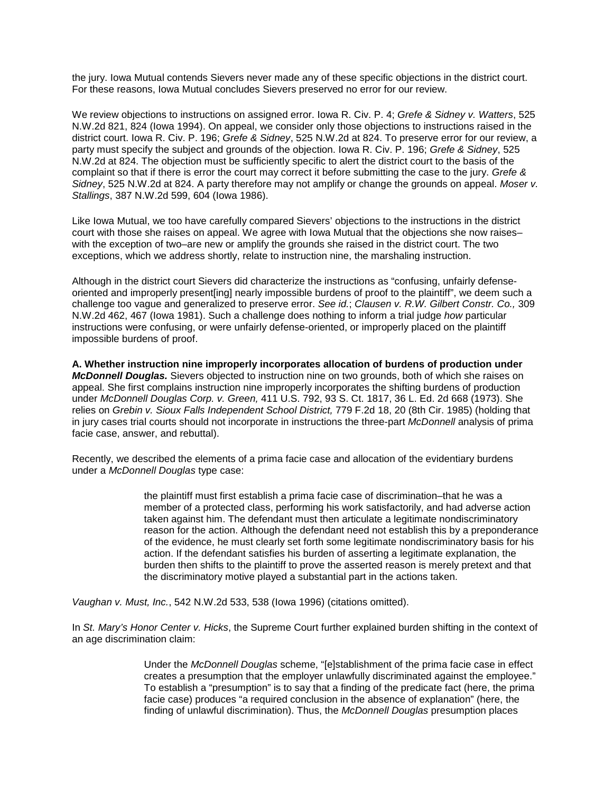the jury. Iowa Mutual contends Sievers never made any of these specific objections in the district court. For these reasons, Iowa Mutual concludes Sievers preserved no error for our review.

We review objections to instructions on assigned error. Iowa R. Civ. P. 4; *Grefe & Sidney v. Watters*, 525 N.W.2d 821, 824 (Iowa 1994). On appeal, we consider only those objections to instructions raised in the district court. Iowa R. Civ. P. 196; *Grefe & Sidney*, 525 N.W.2d at 824. To preserve error for our review, a party must specify the subject and grounds of the objection. Iowa R. Civ. P. 196; *Grefe & Sidney*, 525 N.W.2d at 824. The objection must be sufficiently specific to alert the district court to the basis of the complaint so that if there is error the court may correct it before submitting the case to the jury. *Grefe & Sidney*, 525 N.W.2d at 824. A party therefore may not amplify or change the grounds on appeal. *Moser v. Stallings*, 387 N.W.2d 599, 604 (Iowa 1986).

Like Iowa Mutual, we too have carefully compared Sievers' objections to the instructions in the district court with those she raises on appeal. We agree with Iowa Mutual that the objections she now raises– with the exception of two–are new or amplify the grounds she raised in the district court. The two exceptions, which we address shortly, relate to instruction nine, the marshaling instruction.

Although in the district court Sievers did characterize the instructions as "confusing, unfairly defenseoriented and improperly present[ing] nearly impossible burdens of proof to the plaintiff", we deem such a challenge too vague and generalized to preserve error. *See id.*; *Clausen v. R.W. Gilbert Constr. Co.,* 309 N.W.2d 462, 467 (Iowa 1981). Such a challenge does nothing to inform a trial judge *how* particular instructions were confusing, or were unfairly defense-oriented, or improperly placed on the plaintiff impossible burdens of proof.

**A. Whether instruction nine improperly incorporates allocation of burdens of production under**  *McDonnell Douglas.* Sievers objected to instruction nine on two grounds, both of which she raises on appeal. She first complains instruction nine improperly incorporates the shifting burdens of production under *McDonnell Douglas Corp. v. Green,* 411 U.S. 792, 93 S. Ct. 1817, 36 L. Ed. 2d 668 (1973). She relies on *Grebin v. Sioux Falls Independent School District,* 779 F.2d 18, 20 (8th Cir. 1985) (holding that in jury cases trial courts should not incorporate in instructions the three-part *McDonnell* analysis of prima facie case, answer, and rebuttal).

Recently, we described the elements of a prima facie case and allocation of the evidentiary burdens under a *McDonnell Douglas* type case:

> the plaintiff must first establish a prima facie case of discrimination–that he was a member of a protected class, performing his work satisfactorily, and had adverse action taken against him. The defendant must then articulate a legitimate nondiscriminatory reason for the action. Although the defendant need not establish this by a preponderance of the evidence, he must clearly set forth some legitimate nondiscriminatory basis for his action. If the defendant satisfies his burden of asserting a legitimate explanation, the burden then shifts to the plaintiff to prove the asserted reason is merely pretext and that the discriminatory motive played a substantial part in the actions taken.

*Vaughan v. Must, Inc.*, 542 N.W.2d 533, 538 (Iowa 1996) (citations omitted).

In *St. Mary's Honor Center v. Hicks*, the Supreme Court further explained burden shifting in the context of an age discrimination claim:

> Under the *McDonnell Douglas* scheme, "[e]stablishment of the prima facie case in effect creates a presumption that the employer unlawfully discriminated against the employee." To establish a "presumption" is to say that a finding of the predicate fact (here, the prima facie case) produces "a required conclusion in the absence of explanation" (here, the finding of unlawful discrimination). Thus, the *McDonnell Douglas* presumption places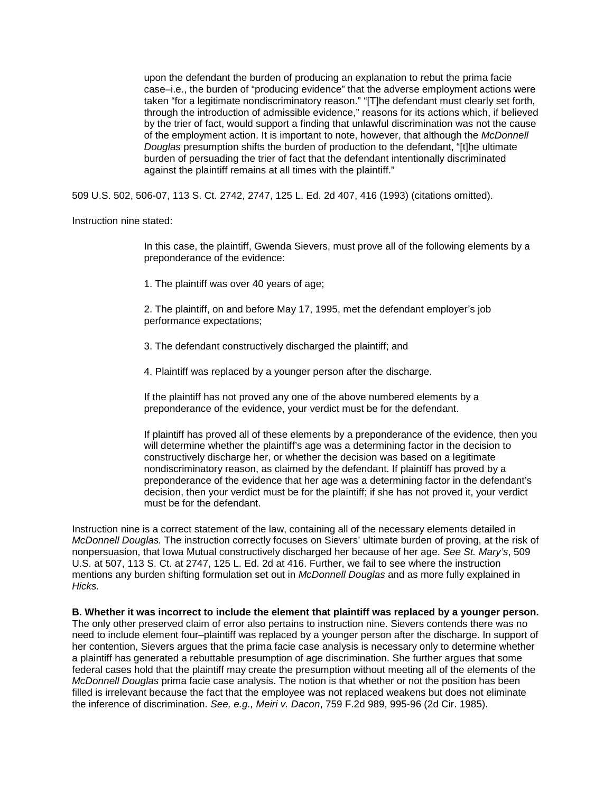upon the defendant the burden of producing an explanation to rebut the prima facie case–i.e., the burden of "producing evidence" that the adverse employment actions were taken "for a legitimate nondiscriminatory reason." "[T]he defendant must clearly set forth, through the introduction of admissible evidence," reasons for its actions which, if believed by the trier of fact, would support a finding that unlawful discrimination was not the cause of the employment action. It is important to note, however, that although the *McDonnell Douglas* presumption shifts the burden of production to the defendant, "[t]he ultimate burden of persuading the trier of fact that the defendant intentionally discriminated against the plaintiff remains at all times with the plaintiff."

509 U.S. 502, 506-07, 113 S. Ct. 2742, 2747, 125 L. Ed. 2d 407, 416 (1993) (citations omitted).

Instruction nine stated:

In this case, the plaintiff, Gwenda Sievers, must prove all of the following elements by a preponderance of the evidence:

1. The plaintiff was over 40 years of age;

2. The plaintiff, on and before May 17, 1995, met the defendant employer's job performance expectations;

3. The defendant constructively discharged the plaintiff; and

4. Plaintiff was replaced by a younger person after the discharge.

If the plaintiff has not proved any one of the above numbered elements by a preponderance of the evidence, your verdict must be for the defendant.

If plaintiff has proved all of these elements by a preponderance of the evidence, then you will determine whether the plaintiff's age was a determining factor in the decision to constructively discharge her, or whether the decision was based on a legitimate nondiscriminatory reason, as claimed by the defendant. If plaintiff has proved by a preponderance of the evidence that her age was a determining factor in the defendant's decision, then your verdict must be for the plaintiff; if she has not proved it, your verdict must be for the defendant.

Instruction nine is a correct statement of the law, containing all of the necessary elements detailed in *McDonnell Douglas.* The instruction correctly focuses on Sievers' ultimate burden of proving, at the risk of nonpersuasion, that Iowa Mutual constructively discharged her because of her age. *See St. Mary's*, 509 U.S. at 507, 113 S. Ct. at 2747, 125 L. Ed. 2d at 416. Further, we fail to see where the instruction mentions any burden shifting formulation set out in *McDonnell Douglas* and as more fully explained in *Hicks.*

**B. Whether it was incorrect to include the element that plaintiff was replaced by a younger person.** The only other preserved claim of error also pertains to instruction nine. Sievers contends there was no need to include element four–plaintiff was replaced by a younger person after the discharge. In support of her contention, Sievers argues that the prima facie case analysis is necessary only to determine whether a plaintiff has generated a rebuttable presumption of age discrimination. She further argues that some federal cases hold that the plaintiff may create the presumption without meeting all of the elements of the *McDonnell Douglas* prima facie case analysis. The notion is that whether or not the position has been filled is irrelevant because the fact that the employee was not replaced weakens but does not eliminate the inference of discrimination. *See, e.g., Meiri v. Dacon*, 759 F.2d 989, 995-96 (2d Cir. 1985).